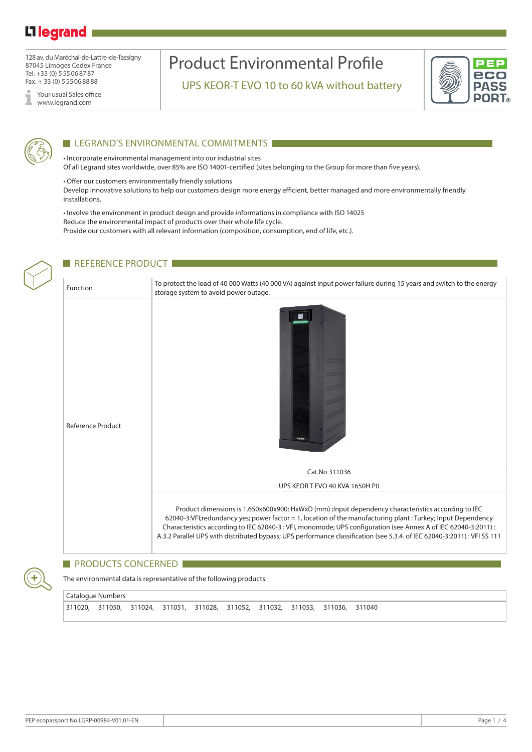### Li legrand

128 av. du Maréchal-de-Lattre-de-Tassigny 87045 Limoges Cedex France Tel. +33 (0) 555068787 Fax. + 33 (0) 555068888

Your usual Sales office www.legrand.com

# Product Environmental Profile

UPS KEOR-T EVO 10 to 60 kVA without battery





#### **LEGRAND'S ENVIRONMENTAL COMMITMENTS**

• Incorporate environmental management into our industrial sites Of all Legrand sites worldwide, over 85% are ISO 14001-certified (sites belonging to the Group for more than five years).

• Offer our customers environmentally friendly solutions Develop innovative solutions to help our customers design more energy efficient, better managed and more environmentally friendly installations.

• Involve the environment in product design and provide informations in compliance with ISO 14025 Reduce the environmental impact of products over their whole life cycle. Provide our customers with all relevant information (composition, consumption, end of life, etc.).



#### REFERENCE PRODUCT

Function To protect the load of 40 000 Watts (40 000 VA) against input power failure during 15 years and switch to the energy storage system to avoid power outage. 层 Reference Product Cat.No 311036 UPS KEOR T EVO 40 KVA 1650H P0 Product dimensions is 1.650x600x900: HxWxD (mm) ;Input dependency characteristics according to IEC 62040-3:VFI;redundancy yes; power factor = 1, location of the manufacturing plant : Turkey; Input Dependency Characteristics according to IEC 62040-3 : VFI, monomode; UPS configuration (see Annex A of IEC 62040-3:2011) : A.3.2 Parallel UPS with distributed bypass; UPS performance classification (see 5.3.4. of IEC 62040-3:2011) : VFI SS 111

#### PRODUCTS CONCERNED

The environmental data is representative of the following products:

```
Catalogue Numbers
```
311020, 311050, 311024, 311051, 311028, 311052, 311032, 311053, 311036, 311040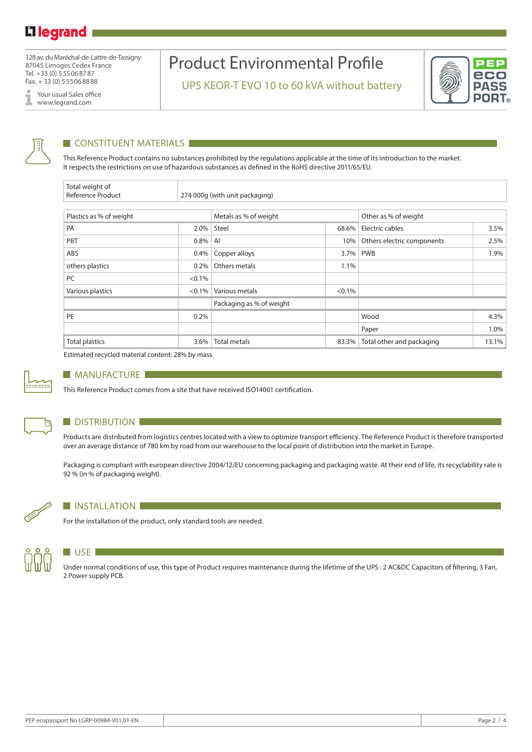128 av. du Maréchal-de-Lattre-de-Tassigny 87045 Limoges Cedex France Tel. +33 (0) 555068787 Fax. + 33 (0) 555068888

Your usual Sales office I www.legrand.com

## Product Environmental Profile

UPS KEOR-T EVO 10 to 60 kVA without battery





#### **CONSTITUENT MATERIALS**

This Reference Product contains no substances prohibited by the regulations applicable at the time of its introduction to the market. It respects the restrictions on use of hazardous substances as defined in the RoHS directive 2011/65/EU.

| Total weight of<br><b>Reference Product</b> |           |                                |           |                            |       |  |  |
|---------------------------------------------|-----------|--------------------------------|-----------|----------------------------|-------|--|--|
|                                             |           | 274 000g (with unit packaging) |           |                            |       |  |  |
| Plastics as % of weight                     |           | Metals as % of weight          |           | Other as % of weight       |       |  |  |
| PA                                          | $2.0\%$   | Steel                          | 68.6%     | Electric cables            | 3.5%  |  |  |
| PBT                                         | 0.8%      | AI                             | 10%       | Others electric components | 2.5%  |  |  |
| ABS                                         | $0.4\%$   | Copper alloys                  | 3.7%      | <b>PWB</b>                 | 1.9%  |  |  |
| others plastics                             | $0.2\%$   | Others metals                  | 1.1%      |                            |       |  |  |
| PC                                          | $< 0.1\%$ |                                |           |                            |       |  |  |
| Various plastics                            | $< 0.1\%$ | Various metals                 | $< 0.1\%$ |                            |       |  |  |
|                                             |           | Packaging as % of weight       |           |                            |       |  |  |
| PE                                          | 0.2%      |                                |           | Wood                       | 4.3%  |  |  |
|                                             |           |                                |           | Paper                      | 1.0%  |  |  |
| <b>Total plastics</b>                       | 3.6%      | <b>Total metals</b>            | 83.3%     | Total other and packaging  | 13.1% |  |  |

Estimated recycled material content: 28% by mass.



#### **MANUFACTURE**

This Reference Product comes from a site that have received ISO14001 certification.



#### **DISTRIBUTION**

Products are distributed from logistics centres located with a view to optimize transport efficiency. The Reference Product is therefore transported over an average distance of 780 km by road from our warehouse to the local point of distribution into the market in Europe.

Packaging is compliant with european directive 2004/12/EU concerning packaging and packaging waste. At their end of life, its recyclability rate is 92 % (in % of packaging weight).



#### **INSTALLATION**

For the installation of the product, only standard tools are needed.



#### **USE**

Under normal conditions of use, this type of Product requires maintenance during the lifetime of the UPS : 2 AC&DC Capacitors of filtering, 3 Fan, 2 Power supply PCB.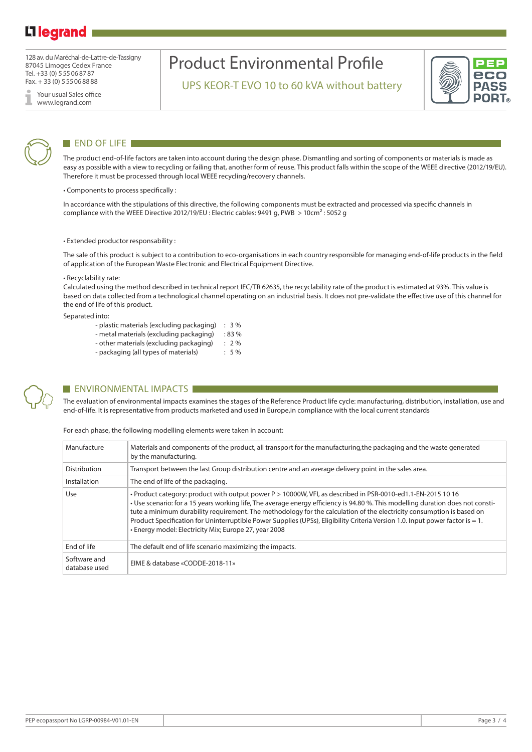### L<sub>legrand</sub>

128 av. du Maréchal-de-Lattre-de-Tassigny 87045 Limoges Cedex France Tel. +33 (0) 555068787 Fax. + 33 (0) 555068888

Your usual Sales office www.legrand.com

## Product Environmental Profile

UPS KEOR-T EVO 10 to 60 kVA without battery





#### END OF LIFE

The product end-of-life factors are taken into account during the design phase. Dismantling and sorting of components or materials is made as easy as possible with a view to recycling or failing that, another form of reuse. This product falls within the scope of the WEEE directive (2012/19/EU). Therefore it must be processed through local WEEE recycling/recovery channels.

• Components to process specifically :

In accordance with the stipulations of this directive, the following components must be extracted and processed via specific channels in compliance with the WEEE Directive 2012/19/EU : Electric cables: 9491 g, PWB > 10cm² : 5052 g

• Extended productor responsability :

The sale of this product is subject to a contribution to eco-organisations in each country responsible for managing end-of-life products in the field of application of the European Waste Electronic and Electrical Equipment Directive.

#### • Recyclability rate:

Calculated using the method described in technical report IEC/TR 62635, the recyclability rate of the product is estimated at 93%. This value is based on data collected from a technological channel operating on an industrial basis. It does not pre-validate the effective use of this channel for the end of life of this product.

Separated into:

- plastic materials (excluding packaging) : 3 % - metal materials (excluding packaging) : 83 %
- other materials (excluding packaging) : 2 %
- packaging (all types of materials) : 5 %



#### **ENVIRONMENTAL IMPACTS**

The evaluation of environmental impacts examines the stages of the Reference Product life cycle: manufacturing, distribution, installation, use and end-of-life. It is representative from products marketed and used in Europe,in compliance with the local current standards

For each phase, the following modelling elements were taken in account:

| Manufacture                   | Materials and components of the product, all transport for the manufacturing, the packaging and the waste generated<br>by the manufacturing.                                                                                                                                                                                                                                                                                                                                                                                                                      |
|-------------------------------|-------------------------------------------------------------------------------------------------------------------------------------------------------------------------------------------------------------------------------------------------------------------------------------------------------------------------------------------------------------------------------------------------------------------------------------------------------------------------------------------------------------------------------------------------------------------|
| Distribution                  | Transport between the last Group distribution centre and an average delivery point in the sales area.                                                                                                                                                                                                                                                                                                                                                                                                                                                             |
| Installation                  | The end of life of the packaging.                                                                                                                                                                                                                                                                                                                                                                                                                                                                                                                                 |
| Use                           | · Product category: product with output power P > 10000W, VFI, as described in PSR-0010-ed1.1-EN-2015 10 16<br>. Use scenario: for a 15 years working life, The average energy efficiency is 94.80 %. This modelling duration does not consti-<br>tute a minimum durability requirement. The methodology for the calculation of the electricity consumption is based on<br>Product Specification for Uninterruptible Power Supplies (UPSs), Eligibility Criteria Version 1.0. Input power factor is = 1.<br>• Energy model: Electricity Mix; Europe 27, year 2008 |
| End of life                   | The default end of life scenario maximizing the impacts.                                                                                                                                                                                                                                                                                                                                                                                                                                                                                                          |
| Software and<br>database used | EIME & database «CODDE-2018-11»                                                                                                                                                                                                                                                                                                                                                                                                                                                                                                                                   |